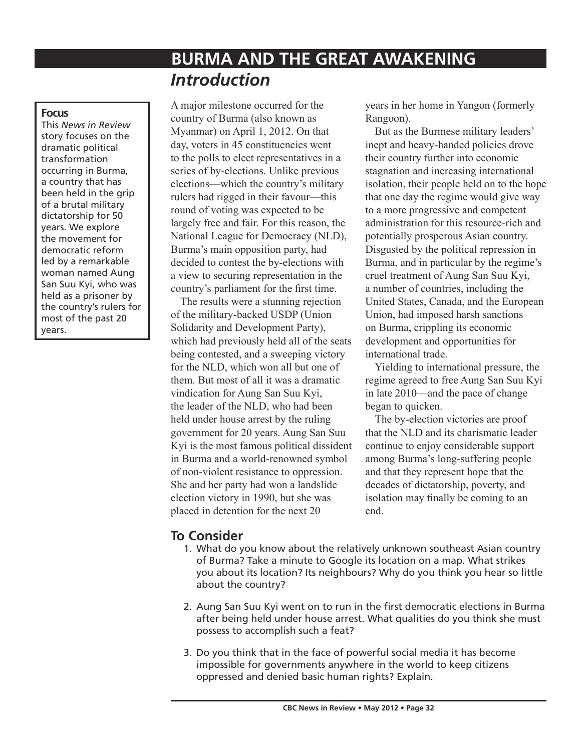# **BURMA AND THE GREAT AWAKENING** *Introduction*

#### **Focus**

This *News in Review* story focuses on the dramatic political transformation occurring in Burma, a country that has been held in the grip of a brutal military dictatorship for 50 years. We explore the movement for democratic reform led by a remarkable woman named Aung San Suu Kyi, who was held as a prisoner by the country's rulers for most of the past 20 years.

A major milestone occurred for the country of Burma (also known as Myanmar) on April 1, 2012. On that day, voters in 45 constituencies went to the polls to elect representatives in a series of by-elections. Unlike previous elections—which the country's military rulers had rigged in their favour—this round of voting was expected to be largely free and fair. For this reason, the National League for Democracy (NLD), Burma's main opposition party, had decided to contest the by-elections with a view to securing representation in the country's parliament for the first time.

The results were a stunning rejection of the military-backed USDP (Union Solidarity and Development Party), which had previously held all of the seats being contested, and a sweeping victory for the NLD, which won all but one of them. But most of all it was a dramatic vindication for Aung San Suu Kyi, the leader of the NLD, who had been held under house arrest by the ruling government for 20 years. Aung San Suu Kyi is the most famous political dissident in Burma and a world-renowned symbol of non-violent resistance to oppression. She and her party had won a landslide election victory in 1990, but she was placed in detention for the next 20

years in her home in Yangon (formerly Rangoon).

But as the Burmese military leaders' inept and heavy-handed policies drove their country further into economic stagnation and increasing international isolation, their people held on to the hope that one day the regime would give way to a more progressive and competent administration for this resource-rich and potentially prosperous Asian country. Disgusted by the political repression in Burma, and in particular by the regime's cruel treatment of Aung San Suu Kyi, a number of countries, including the United States, Canada, and the European Union, had imposed harsh sanctions on Burma, crippling its economic development and opportunities for international trade.

Yielding to international pressure, the regime agreed to free Aung San Suu Kyi in late 2010—and the pace of change began to quicken.

The by-election victories are proof that the NLD and its charismatic leader continue to enjoy considerable support among Burma's long-suffering people and that they represent hope that the decades of dictatorship, poverty, and isolation may finally be coming to an end.

## **To Consider**

- 1. What do you know about the relatively unknown southeast Asian country of Burma? Take a minute to Google its location on a map. What strikes you about its location? Its neighbours? Why do you think you hear so little about the country?
- 2. Aung San Suu Kyi went on to run in the first democratic elections in Burma after being held under house arrest. What qualities do you think she must possess to accomplish such a feat?
- 3. Do you think that in the face of powerful social media it has become impossible for governments anywhere in the world to keep citizens oppressed and denied basic human rights? Explain.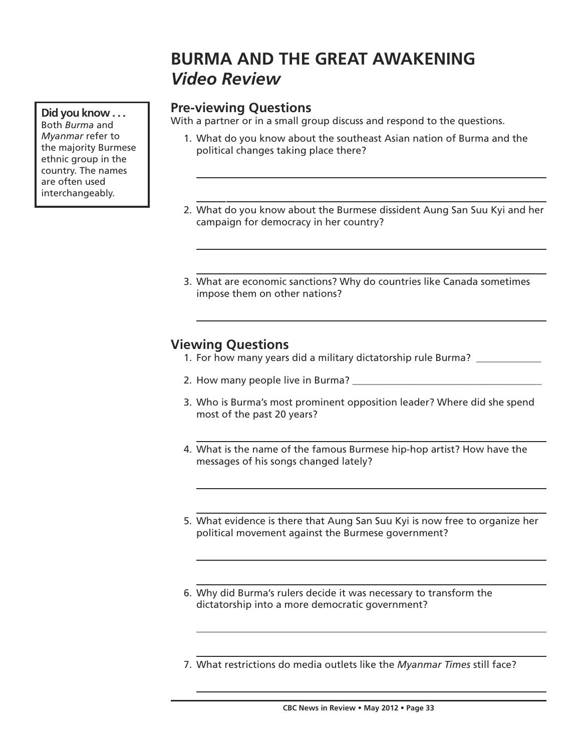# **BURMA AND THE GREAT AWAKENING** *Video Review*

# **Pre-viewing Questions**

With a partner or in a small group discuss and respond to the questions.

- 1. What do you know about the southeast Asian nation of Burma and the political changes taking place there?
- ) 2. What do you know about the Burmese dissident Aung San Suu Kyi and her campaign for democracy in her country?
- 3. What are economic sanctions? Why do countries like Canada sometimes impose them on other nations?

## **Viewing Questions**

- 1. For how many years did a military dictatorship rule Burma? \_\_\_\_\_\_\_\_\_\_\_\_
- 2. How many people live in Burma? \_\_\_\_\_\_\_\_\_\_\_\_\_\_\_\_\_\_\_\_\_\_\_\_\_\_\_\_\_\_\_\_\_\_\_\_\_\_
- 3. Who is Burma's most prominent opposition leader? Where did she spend most of the past 20 years?
- 4. What is the name of the famous Burmese hip-hop artist? How have the messages of his songs changed lately?
- 5. What evidence is there that Aung San Suu Kyi is now free to organize her political movement against the Burmese government?
- 6. Why did Burma's rulers decide it was necessary to transform the dictatorship into a more democratic government?
- 7. What restrictions do media outlets like the *Myanmar Times* still face?

**Did you know . . .** Both *Burma* and *Myanmar* refer to the majority Burmese ethnic group in the country. The names are often used interchangeably.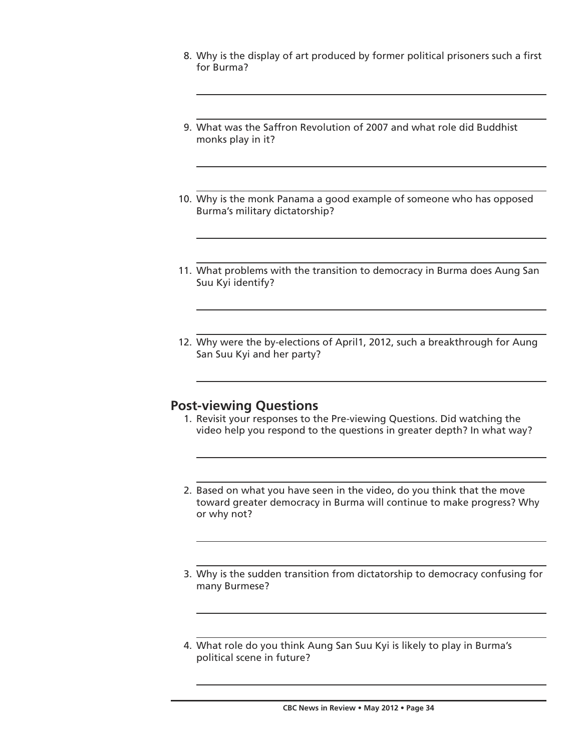- 8. Why is the display of art produced by former political prisoners such a first for Burma?
- 9. What was the Saffron Revolution of 2007 and what role did Buddhist monks play in it?
- 10. Why is the monk Panama a good example of someone who has opposed Burma's military dictatorship?
- 11. What problems with the transition to democracy in Burma does Aung San Suu Kyi identify?
- 12. Why were the by-elections of April1, 2012, such a breakthrough for Aung San Suu Kyi and her party?

### **Post-viewing Questions**

- 1. Revisit your responses to the Pre-viewing Questions. Did watching the video help you respond to the questions in greater depth? In what way?
- 2. Based on what you have seen in the video, do you think that the move toward greater democracy in Burma will continue to make progress? Why or why not?
- 3. Why is the sudden transition from dictatorship to democracy confusing for many Burmese?
- 4. What role do you think Aung San Suu Kyi is likely to play in Burma's political scene in future?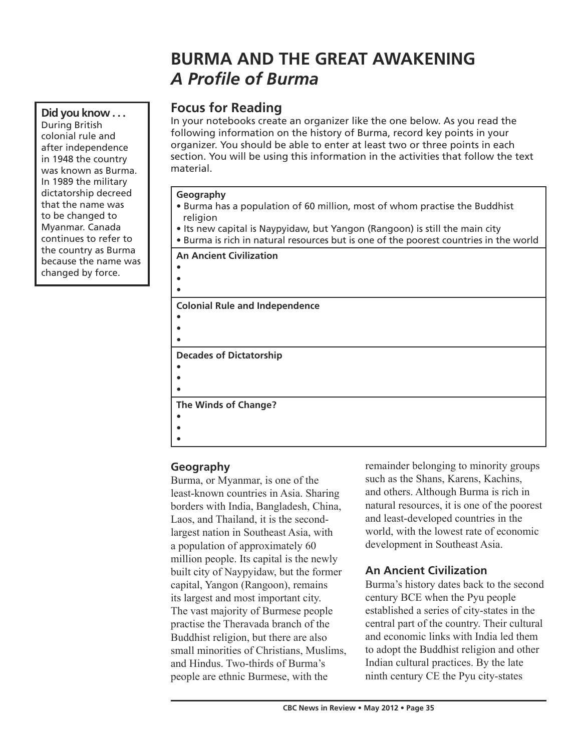# **BURMA AND THE GREAT AWAKENING** *A Profile of Burma*

# **Focus for Reading**

In your notebooks create an organizer like the one below. As you read the following information on the history of Burma, record key points in your organizer. You should be able to enter at least two or three points in each section. You will be using this information in the activities that follow the text material.

#### **Geography**

- Burma has a population of 60 million, most of whom practise the Buddhist religion
- Its new capital is Naypyidaw, but Yangon (Rangoon) is still the main city
- Burma is rich in natural resources but is one of the poorest countries in the world

**An Ancient Civilization**

**Colonial Rule and Independence**

• • •

> • • •

• • •

• • •

**Decades of Dictatorship**

**The Winds of Change?**

## **Geography**

Burma, or Myanmar, is one of the least-known countries in Asia. Sharing borders with India, Bangladesh, China, Laos, and Thailand, it is the secondlargest nation in Southeast Asia, with a population of approximately 60 million people. Its capital is the newly built city of Naypyidaw, but the former capital, Yangon (Rangoon), remains its largest and most important city. The vast majority of Burmese people practise the Theravada branch of the Buddhist religion, but there are also small minorities of Christians, Muslims, and Hindus. Two-thirds of Burma's people are ethnic Burmese, with the

remainder belonging to minority groups such as the Shans, Karens, Kachins, and others. Although Burma is rich in natural resources, it is one of the poorest and least-developed countries in the world, with the lowest rate of economic development in Southeast Asia.

## **An Ancient Civilization**

Burma's history dates back to the second century BCE when the Pyu people established a series of city-states in the central part of the country. Their cultural and economic links with India led them to adopt the Buddhist religion and other Indian cultural practices. By the late ninth century CE the Pyu city-states

**Did you know . . .** During British colonial rule and after independence in 1948 the country was known as Burma. In 1989 the military dictatorship decreed that the name was to be changed to Myanmar. Canada continues to refer to the country as Burma because the name was changed by force.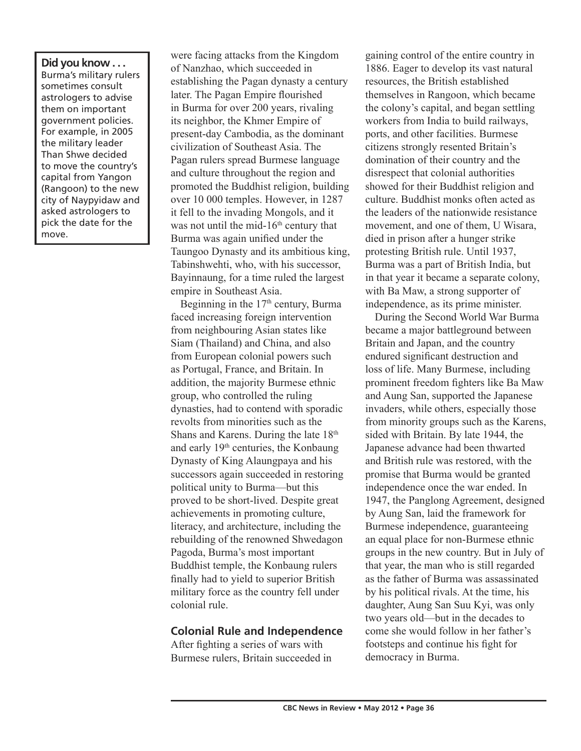**Did you know . . .**  Burma's military rulers sometimes consult astrologers to advise them on important government policies. For example, in 2005 the military leader Than Shwe decided to move the country's capital from Yangon (Rangoon) to the new city of Naypyidaw and asked astrologers to pick the date for the move.

were facing attacks from the Kingdom of Nanzhao, which succeeded in establishing the Pagan dynasty a century later. The Pagan Empire flourished in Burma for over 200 years, rivaling its neighbor, the Khmer Empire of present-day Cambodia, as the dominant civilization of Southeast Asia. The Pagan rulers spread Burmese language and culture throughout the region and promoted the Buddhist religion, building over 10 000 temples. However, in 1287 it fell to the invading Mongols, and it was not until the mid- $16<sup>th</sup>$  century that Burma was again unified under the Taungoo Dynasty and its ambitious king, Tabinshwehti, who, with his successor, Bayinnaung, for a time ruled the largest empire in Southeast Asia.

Beginning in the  $17<sup>th</sup>$  century, Burma faced increasing foreign intervention from neighbouring Asian states like Siam (Thailand) and China, and also from European colonial powers such as Portugal, France, and Britain. In addition, the majority Burmese ethnic group, who controlled the ruling dynasties, had to contend with sporadic revolts from minorities such as the Shans and Karens. During the late 18<sup>th</sup> and early 19th centuries, the Konbaung Dynasty of King Alaungpaya and his successors again succeeded in restoring political unity to Burma—but this proved to be short-lived. Despite great achievements in promoting culture, literacy, and architecture, including the rebuilding of the renowned Shwedagon Pagoda, Burma's most important Buddhist temple, the Konbaung rulers finally had to yield to superior British military force as the country fell under colonial rule.

### **Colonial Rule and Independence**

After fighting a series of wars with Burmese rulers, Britain succeeded in

gaining control of the entire country in 1886. Eager to develop its vast natural resources, the British established themselves in Rangoon, which became the colony's capital, and began settling workers from India to build railways, ports, and other facilities. Burmese citizens strongly resented Britain's domination of their country and the disrespect that colonial authorities showed for their Buddhist religion and culture. Buddhist monks often acted as the leaders of the nationwide resistance movement, and one of them, U Wisara, died in prison after a hunger strike protesting British rule. Until 1937, Burma was a part of British India, but in that year it became a separate colony, with Ba Maw, a strong supporter of independence, as its prime minister.

During the Second World War Burma became a major battleground between Britain and Japan, and the country endured significant destruction and loss of life. Many Burmese, including prominent freedom fighters like Ba Maw and Aung San, supported the Japanese invaders, while others, especially those from minority groups such as the Karens, sided with Britain. By late 1944, the Japanese advance had been thwarted and British rule was restored, with the promise that Burma would be granted independence once the war ended. In 1947, the Panglong Agreement, designed by Aung San, laid the framework for Burmese independence, guaranteeing an equal place for non-Burmese ethnic groups in the new country. But in July of that year, the man who is still regarded as the father of Burma was assassinated by his political rivals. At the time, his daughter, Aung San Suu Kyi, was only two years old—but in the decades to come she would follow in her father's footsteps and continue his fight for democracy in Burma.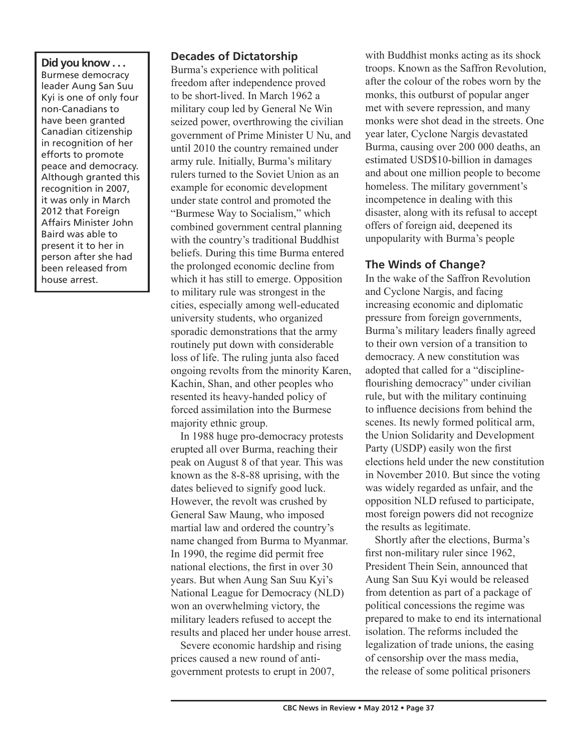**Did you know . . .**  Burmese democracy leader Aung San Suu Kyi is one of only four non-Canadians to have been granted Canadian citizenship in recognition of her efforts to promote peace and democracy. Although granted this recognition in 2007, it was only in March 2012 that Foreign Affairs Minister John Baird was able to present it to her in person after she had been released from house arrest.

### **Decades of Dictatorship**

Burma's experience with political freedom after independence proved to be short-lived. In March 1962 a military coup led by General Ne Win seized power, overthrowing the civilian government of Prime Minister U Nu, and until 2010 the country remained under army rule. Initially, Burma's military rulers turned to the Soviet Union as an example for economic development under state control and promoted the "Burmese Way to Socialism," which combined government central planning with the country's traditional Buddhist beliefs. During this time Burma entered the prolonged economic decline from which it has still to emerge. Opposition to military rule was strongest in the cities, especially among well-educated university students, who organized sporadic demonstrations that the army routinely put down with considerable loss of life. The ruling junta also faced ongoing revolts from the minority Karen, Kachin, Shan, and other peoples who resented its heavy-handed policy of forced assimilation into the Burmese majority ethnic group.

In 1988 huge pro-democracy protests erupted all over Burma, reaching their peak on August 8 of that year. This was known as the 8-8-88 uprising, with the dates believed to signify good luck. However, the revolt was crushed by General Saw Maung, who imposed martial law and ordered the country's name changed from Burma to Myanmar. In 1990, the regime did permit free national elections, the first in over 30 years. But when Aung San Suu Kyi's National League for Democracy (NLD) won an overwhelming victory, the military leaders refused to accept the results and placed her under house arrest.

Severe economic hardship and rising prices caused a new round of antigovernment protests to erupt in 2007,

with Buddhist monks acting as its shock troops. Known as the Saffron Revolution, after the colour of the robes worn by the monks, this outburst of popular anger met with severe repression, and many monks were shot dead in the streets. One year later, Cyclone Nargis devastated Burma, causing over 200 000 deaths, an estimated USD\$10-billion in damages and about one million people to become homeless. The military government's incompetence in dealing with this disaster, along with its refusal to accept offers of foreign aid, deepened its unpopularity with Burma's people

### **The Winds of Change?**

In the wake of the Saffron Revolution and Cyclone Nargis, and facing increasing economic and diplomatic pressure from foreign governments, Burma's military leaders finally agreed to their own version of a transition to democracy. A new constitution was adopted that called for a "disciplineflourishing democracy" under civilian rule, but with the military continuing to influence decisions from behind the scenes. Its newly formed political arm, the Union Solidarity and Development Party (USDP) easily won the first elections held under the new constitution in November 2010. But since the voting was widely regarded as unfair, and the opposition NLD refused to participate, most foreign powers did not recognize the results as legitimate.

Shortly after the elections, Burma's first non-military ruler since 1962, President Thein Sein, announced that Aung San Suu Kyi would be released from detention as part of a package of political concessions the regime was prepared to make to end its international isolation. The reforms included the legalization of trade unions, the easing of censorship over the mass media, the release of some political prisoners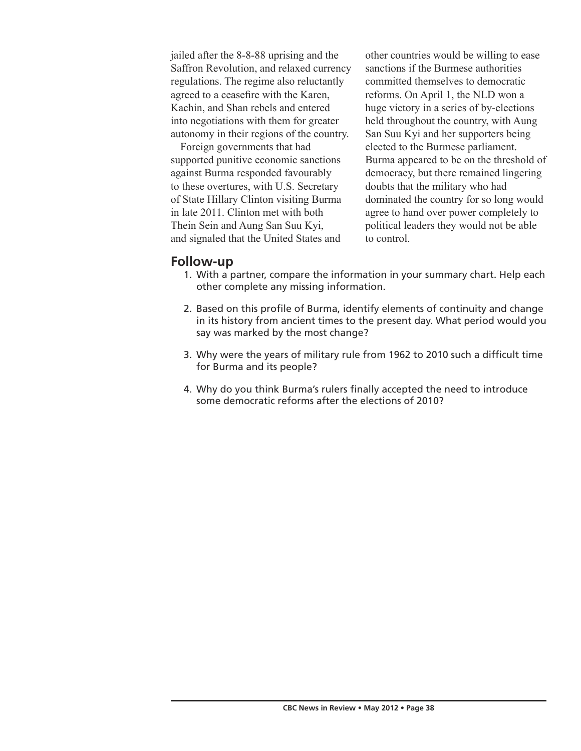jailed after the 8-8-88 uprising and the Saffron Revolution, and relaxed currency regulations. The regime also reluctantly agreed to a ceasefire with the Karen, Kachin, and Shan rebels and entered into negotiations with them for greater autonomy in their regions of the country.

Foreign governments that had supported punitive economic sanctions against Burma responded favourably to these overtures, with U.S. Secretary of State Hillary Clinton visiting Burma in late 2011. Clinton met with both Thein Sein and Aung San Suu Kyi, and signaled that the United States and

other countries would be willing to ease sanctions if the Burmese authorities committed themselves to democratic reforms. On April 1, the NLD won a huge victory in a series of by-elections held throughout the country, with Aung San Suu Kyi and her supporters being elected to the Burmese parliament. Burma appeared to be on the threshold of democracy, but there remained lingering doubts that the military who had dominated the country for so long would agree to hand over power completely to political leaders they would not be able to control.

## **Follow-up**

- 1. With a partner, compare the information in your summary chart. Help each other complete any missing information.
- 2. Based on this profile of Burma, identify elements of continuity and change in its history from ancient times to the present day. What period would you say was marked by the most change?
- 3. Why were the years of military rule from 1962 to 2010 such a difficult time for Burma and its people?
- 4. Why do you think Burma's rulers finally accepted the need to introduce some democratic reforms after the elections of 2010?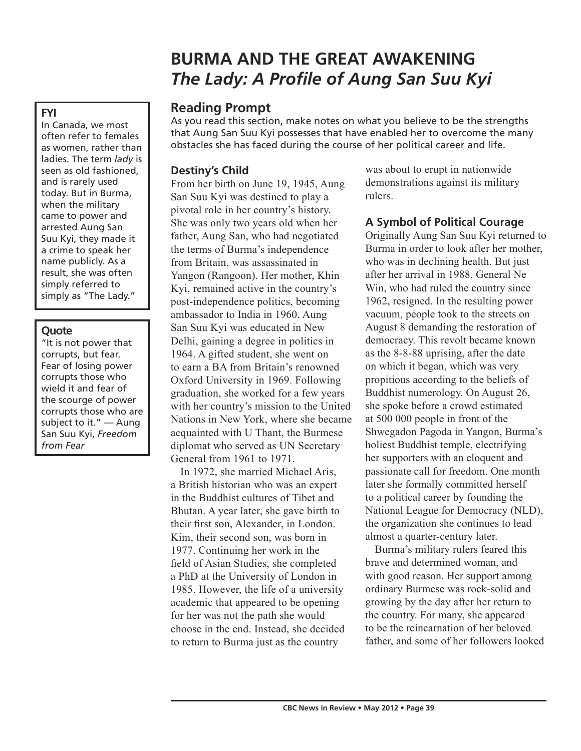# **BURMA AND THE GREAT AWAKENING** *The Lady: A Profile of Aung San Suu Kyi*

## **Reading Prompt**

As you read this section, make notes on what you believe to be the strengths that Aung San Suu Kyi possesses that have enabled her to overcome the many obstacles she has faced during the course of her political career and life.

## **Destiny's Child**

From her birth on June 19, 1945, Aung San Suu Kyi was destined to play a pivotal role in her country's history. She was only two years old when her father, Aung San, who had negotiated the terms of Burma's independence from Britain, was assassinated in Yangon (Rangoon). Her mother, Khin Kyi, remained active in the country's post-independence politics, becoming ambassador to India in 1960. Aung San Suu Kyi was educated in New Delhi, gaining a degree in politics in 1964. A gifted student, she went on to earn a BA from Britain's renowned Oxford University in 1969. Following graduation, she worked for a few years with her country's mission to the United Nations in New York, where she became acquainted with U Thant, the Burmese diplomat who served as UN Secretary General from 1961 to 1971.

In 1972, she married Michael Aris, a British historian who was an expert in the Buddhist cultures of Tibet and Bhutan. A year later, she gave birth to their first son, Alexander, in London. Kim, their second son, was born in 1977. Continuing her work in the field of Asian Studies, she completed a PhD at the University of London in 1985. However, the life of a university academic that appeared to be opening for her was not the path she would choose in the end. Instead, she decided to return to Burma just as the country

was about to erupt in nationwide demonstrations against its military rulers.

## **A Symbol of Political Courage**

Originally Aung San Suu Kyi returned to Burma in order to look after her mother, who was in declining health. But just after her arrival in 1988, General Ne Win, who had ruled the country since 1962, resigned. In the resulting power vacuum, people took to the streets on August 8 demanding the restoration of democracy. This revolt became known as the 8-8-88 uprising, after the date on which it began, which was very propitious according to the beliefs of Buddhist numerology. On August 26, she spoke before a crowd estimated at 500 000 people in front of the Shwegadon Pagoda in Yangon, Burma's holiest Buddhist temple, electrifying her supporters with an eloquent and passionate call for freedom. One month later she formally committed herself to a political career by founding the National League for Democracy (NLD), the organization she continues to lead almost a quarter-century later.

Burma's military rulers feared this brave and determined woman, and with good reason. Her support among ordinary Burmese was rock-solid and growing by the day after her return to the country. For many, she appeared to be the reincarnation of her beloved father, and some of her followers looked

#### In Canada, we most often refer to females as women, rather than ladies. The term *lady* is seen as old fashioned, and is rarely used today. But in Burma, when the military came to power and arrested Aung San Suu Kyi, they made it a crime to speak her name publicly. As a result, she was often

simply referred to simply as "The Lady."

### **Quote**

"It is not power that corrupts, but fear. Fear of losing power corrupts those who wield it and fear of the scourge of power corrupts those who are subject to it." — Aung San Suu Kyi, *Freedom from Fear*

# **FYI**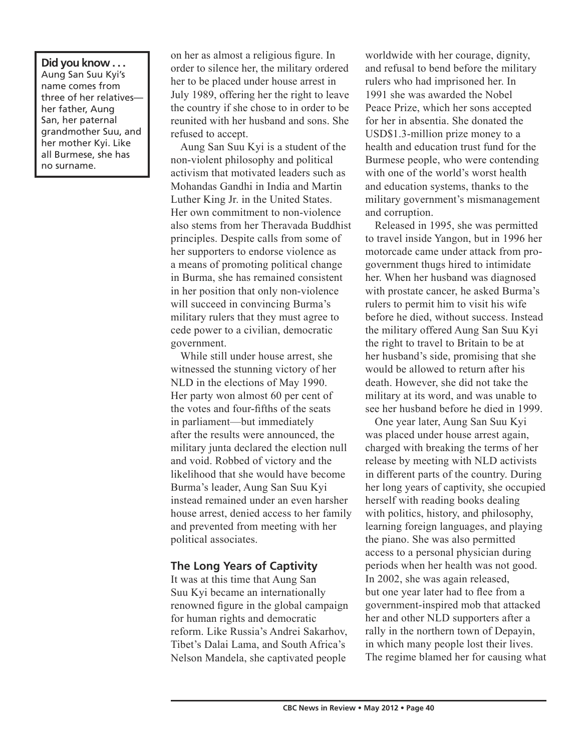**Did you know . . .**  Aung San Suu Kyi's name comes from three of her relatives her father, Aung San, her paternal grandmother Suu, and her mother Kyi. Like all Burmese, she has no surname.

on her as almost a religious figure. In order to silence her, the military ordered her to be placed under house arrest in July 1989, offering her the right to leave the country if she chose to in order to be reunited with her husband and sons. She refused to accept.

Aung San Suu Kyi is a student of the non-violent philosophy and political activism that motivated leaders such as Mohandas Gandhi in India and Martin Luther King Jr. in the United States. Her own commitment to non-violence also stems from her Theravada Buddhist principles. Despite calls from some of her supporters to endorse violence as a means of promoting political change in Burma, she has remained consistent in her position that only non-violence will succeed in convincing Burma's military rulers that they must agree to cede power to a civilian, democratic government.

While still under house arrest, she witnessed the stunning victory of her NLD in the elections of May 1990. Her party won almost 60 per cent of the votes and four-fifths of the seats in parliament—but immediately after the results were announced, the military junta declared the election null and void. Robbed of victory and the likelihood that she would have become Burma's leader, Aung San Suu Kyi instead remained under an even harsher house arrest, denied access to her family and prevented from meeting with her political associates.

### **The Long Years of Captivity**

It was at this time that Aung San Suu Kyi became an internationally renowned figure in the global campaign for human rights and democratic reform. Like Russia's Andrei Sakarhov, Tibet's Dalai Lama, and South Africa's Nelson Mandela, she captivated people

worldwide with her courage, dignity, and refusal to bend before the military rulers who had imprisoned her. In 1991 she was awarded the Nobel Peace Prize, which her sons accepted for her in absentia. She donated the USD\$1.3-million prize money to a health and education trust fund for the Burmese people, who were contending with one of the world's worst health and education systems, thanks to the military government's mismanagement and corruption.

Released in 1995, she was permitted to travel inside Yangon, but in 1996 her motorcade came under attack from progovernment thugs hired to intimidate her. When her husband was diagnosed with prostate cancer, he asked Burma's rulers to permit him to visit his wife before he died, without success. Instead the military offered Aung San Suu Kyi the right to travel to Britain to be at her husband's side, promising that she would be allowed to return after his death. However, she did not take the military at its word, and was unable to see her husband before he died in 1999.

One year later, Aung San Suu Kyi was placed under house arrest again, charged with breaking the terms of her release by meeting with NLD activists in different parts of the country. During her long years of captivity, she occupied herself with reading books dealing with politics, history, and philosophy, learning foreign languages, and playing the piano. She was also permitted access to a personal physician during periods when her health was not good. In 2002, she was again released, but one year later had to flee from a government-inspired mob that attacked her and other NLD supporters after a rally in the northern town of Depayin, in which many people lost their lives. The regime blamed her for causing what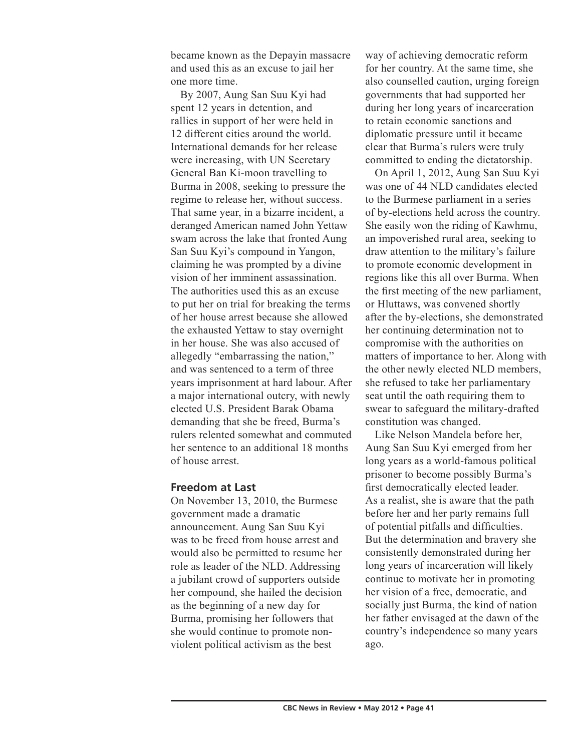became known as the Depayin massacre and used this as an excuse to jail her one more time.

By 2007, Aung San Suu Kyi had spent 12 years in detention, and rallies in support of her were held in 12 different cities around the world. International demands for her release were increasing, with UN Secretary General Ban Ki-moon travelling to Burma in 2008, seeking to pressure the regime to release her, without success. That same year, in a bizarre incident, a deranged American named John Yettaw swam across the lake that fronted Aung San Suu Kyi's compound in Yangon, claiming he was prompted by a divine vision of her imminent assassination. The authorities used this as an excuse to put her on trial for breaking the terms of her house arrest because she allowed the exhausted Yettaw to stay overnight in her house. She was also accused of allegedly "embarrassing the nation," and was sentenced to a term of three years imprisonment at hard labour. After a major international outcry, with newly elected U.S. President Barak Obama demanding that she be freed, Burma's rulers relented somewhat and commuted her sentence to an additional 18 months of house arrest.

#### **Freedom at Last**

On November 13, 2010, the Burmese government made a dramatic announcement. Aung San Suu Kyi was to be freed from house arrest and would also be permitted to resume her role as leader of the NLD. Addressing a jubilant crowd of supporters outside her compound, she hailed the decision as the beginning of a new day for Burma, promising her followers that she would continue to promote nonviolent political activism as the best

way of achieving democratic reform for her country. At the same time, she also counselled caution, urging foreign governments that had supported her during her long years of incarceration to retain economic sanctions and diplomatic pressure until it became clear that Burma's rulers were truly committed to ending the dictatorship.

On April 1, 2012, Aung San Suu Kyi was one of 44 NLD candidates elected to the Burmese parliament in a series of by-elections held across the country. She easily won the riding of Kawhmu, an impoverished rural area, seeking to draw attention to the military's failure to promote economic development in regions like this all over Burma. When the first meeting of the new parliament, or Hluttaws, was convened shortly after the by-elections, she demonstrated her continuing determination not to compromise with the authorities on matters of importance to her. Along with the other newly elected NLD members, she refused to take her parliamentary seat until the oath requiring them to swear to safeguard the military-drafted constitution was changed.

Like Nelson Mandela before her, Aung San Suu Kyi emerged from her long years as a world-famous political prisoner to become possibly Burma's first democratically elected leader. As a realist, she is aware that the path before her and her party remains full of potential pitfalls and difficulties. But the determination and bravery she consistently demonstrated during her long years of incarceration will likely continue to motivate her in promoting her vision of a free, democratic, and socially just Burma, the kind of nation her father envisaged at the dawn of the country's independence so many years ago.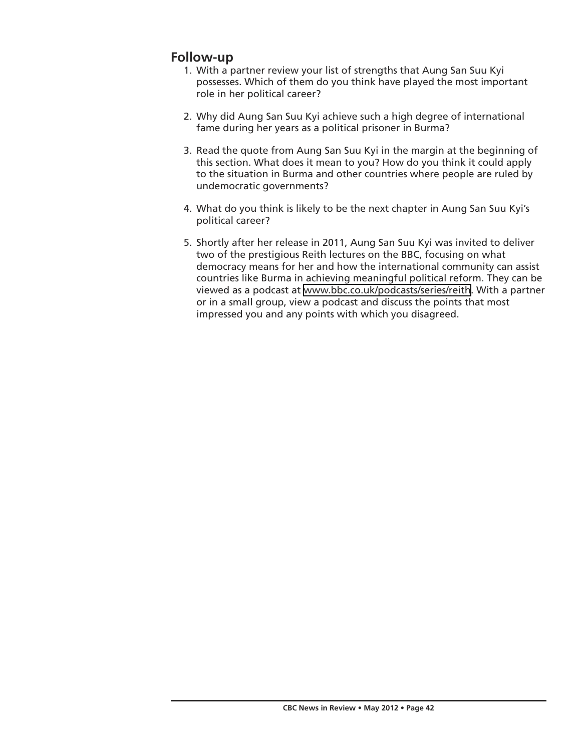# **Follow-up**

- 1. With a partner review your list of strengths that Aung San Suu Kyi possesses. Which of them do you think have played the most important role in her political career?
- 2. Why did Aung San Suu Kyi achieve such a high degree of international fame during her years as a political prisoner in Burma?
- 3. Read the quote from Aung San Suu Kyi in the margin at the beginning of this section. What does it mean to you? How do you think it could apply to the situation in Burma and other countries where people are ruled by undemocratic governments?
- 4. What do you think is likely to be the next chapter in Aung San Suu Kyi's political career?
- 5. Shortly after her release in 2011, Aung San Suu Kyi was invited to deliver two of the prestigious Reith lectures on the BBC, focusing on what democracy means for her and how the international community can assist countries like Burma in achieving meaningful political reform. They can be viewed as a podcast at [www.bbc.co.uk/podcasts/series/reith](http://www.bbc.co.uk/podcasts/series/reith). With a partner or in a small group, view a podcast and discuss the points that most impressed you and any points with which you disagreed.